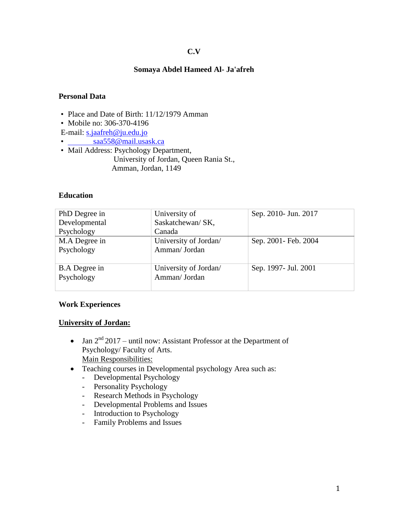## **C.V**

### **Somaya Abdel Hameed Al- Ja'afreh**

### **Personal Data**

- Place and Date of Birth: 11/12/1979 Amman
- Mobile no: 306-370-4196

E-mail: [s.jaafreh@ju.edu.jo](mailto:s.jaafreh@ju.edu.jo%20%20%20%20%20%20%20%20%20%20%20%20%20saa558@mail.usask.ca)

- saa558@mail.usask.ca
- Mail Address: Psychology Department, University of Jordan, Queen Rania St., Amman, Jordan, 1149

#### **Education**

| PhD Degree in        | University of         | Sep. 2010- Jun. 2017  |
|----------------------|-----------------------|-----------------------|
| Developmental        | Saskatchewan/ SK,     |                       |
| Psychology           | Canada                |                       |
| M.A Degree in        | University of Jordan/ | Sep. 2001- Feb. 2004  |
| Psychology           | Amman/ Jordan         |                       |
|                      |                       |                       |
| <b>B.A</b> Degree in | University of Jordan/ | Sep. 1997 - Jul. 2001 |
| Psychology           | Amman/ Jordan         |                       |
|                      |                       |                       |

#### **Work Experiences**

#### **University of Jordan:**

- Jan  $2<sup>nd</sup> 2017$  until now: Assistant Professor at the Department of Psychology/ Faculty of Arts. Main Responsibilities:
- Teaching courses in Developmental psychology Area such as:
	- Developmental Psychology
	- Personality Psychology
	- Research Methods in Psychology
	- Developmental Problems and Issues
	- Introduction to Psychology
	- Family Problems and Issues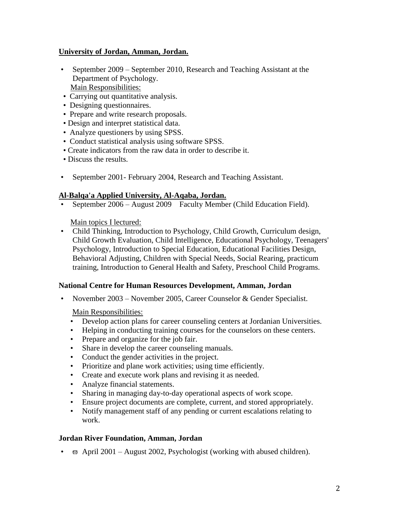# **University of Jordan, Amman, Jordan.**

- September 2009 September 2010, Research and Teaching Assistant at the Department of Psychology. Main Responsibilities:
- Carrying out quantitative analysis.
- Designing questionnaires.
- Prepare and write research proposals.
- Design and interpret statistical data.
- Analyze questioners by using SPSS.
- Conduct statistical analysis using software SPSS.
- Create indicators from the raw data in order to describe it.
- Discuss the results.
- September 2001- February 2004, Research and Teaching Assistant.

# **Al-Balqa'a Applied University, Al-Aqaba, Jordan.**

• September 2006 – August 2009 Faculty Member (Child Education Field).

Main topics I lectured:

• Child Thinking, Introduction to Psychology, Child Growth, Curriculum design, Child Growth Evaluation, Child Intelligence, Educational Psychology, Teenagers' Psychology, Introduction to Special Education, Educational Facilities Design, Behavioral Adjusting, Children with Special Needs, Social Rearing, practicum training, Introduction to General Health and Safety, Preschool Child Programs.

## **National Centre for Human Resources Development, Amman, Jordan**

• November 2003 – November 2005, Career Counselor & Gender Specialist.

Main Responsibilities:

- Develop action plans for career counseling centers at Jordanian Universities.
- Helping in conducting training courses for the counselors on these centers.
- Prepare and organize for the job fair.
- Share in develop the career counseling manuals.
- Conduct the gender activities in the project.
- Prioritize and plane work activities; using time efficiently.
- Create and execute work plans and revising it as needed.
- Analyze financial statements.
- Sharing in managing day-to-day operational aspects of work scope.
- Ensure project documents are complete, current, and stored appropriately.
- Notify management staff of any pending or current escalations relating to work.

## **Jordan River Foundation, Amman, Jordan**

•  $\overline{\omega}$  April 2001 – August 2002, Psychologist (working with abused children).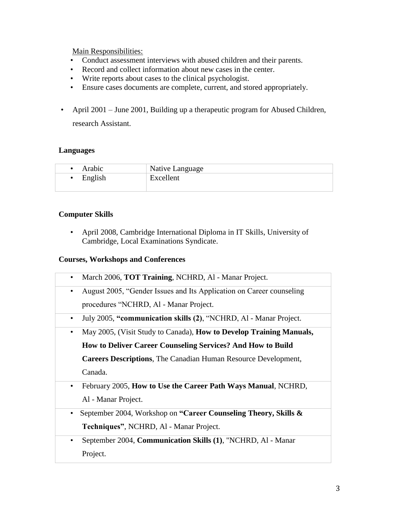Main Responsibilities:

- Conduct assessment interviews with abused children and their parents.
- Record and collect information about new cases in the center.
- Write reports about cases to the clinical psychologist.
- Ensure cases documents are complete, current, and stored appropriately.
- April 2001 June 2001, Building up a therapeutic program for Abused Children, research Assistant.

## **Languages**

| Arabic  | Native Language |
|---------|-----------------|
| English | Excellent       |
|         |                 |

# **Computer Skills**

• April 2008, Cambridge International Diploma in IT Skills, University of Cambridge, Local Examinations Syndicate.

#### **Courses, Workshops and Conferences**

| March 2006, TOT Training, NCHRD, Al - Manar Project.<br>٠                         |
|-----------------------------------------------------------------------------------|
| August 2005, "Gender Issues and Its Application on Career counseling<br>$\bullet$ |
| procedures "NCHRD, Al - Manar Project.                                            |
| July 2005, "communication skills (2), "NCHRD, Al - Manar Project.<br>$\bullet$    |
| May 2005, (Visit Study to Canada), How to Develop Training Manuals,<br>$\bullet$  |
| How to Deliver Career Counseling Services? And How to Build                       |
| <b>Careers Descriptions</b> , The Canadian Human Resource Development,            |
| Canada.                                                                           |
| February 2005, How to Use the Career Path Ways Manual, NCHRD,<br>$\bullet$        |
| Al - Manar Project.                                                               |
| September 2004, Workshop on "Career Counseling Theory, Skills &<br>$\bullet$      |
| Techniques", NCHRD, Al - Manar Project.                                           |
| September 2004, Communication Skills (1), "NCHRD, Al - Manar<br>$\bullet$         |
| Project.                                                                          |
|                                                                                   |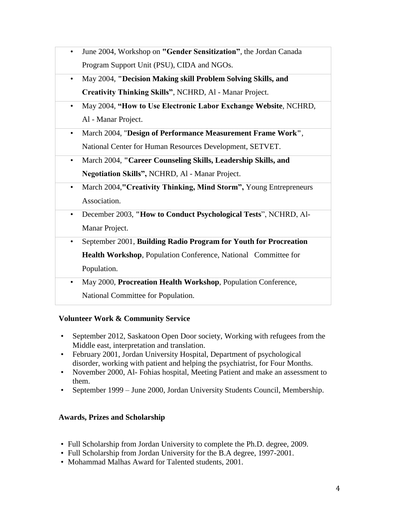- June 2004, Workshop on **"Gender Sensitization"**, the Jordan Canada Program Support Unit (PSU), CIDA and NGOs.
- May 2004, **"Decision Making skill Problem Solving Skills, and Creativity Thinking Skills"**, NCHRD, Al - Manar Project.
- May 2004, **"How to Use Electronic Labor Exchange Website**, NCHRD, Al - Manar Project.
- March 2004, "**Design of Performance Measurement Frame Work"**, National Center for Human Resources Development, SETVET.
- March 2004, **"Career Counseling Skills, Leadership Skills, and Negotiation Skills",** NCHRD, Al - Manar Project.
- March 2004,**"Creativity Thinking, Mind Storm",** Young Entrepreneurs Association.
- December 2003, **"How to Conduct Psychological Tests**", NCHRD, Al-Manar Project.
- September 2001, **Building Radio Program for Youth for Procreation Health Workshop**, Population Conference, National Committee for Population.
- May 2000, **Procreation Health Workshop**, Population Conference, National Committee for Population.

# **Volunteer Work & Community Service**

- September 2012, Saskatoon Open Door society, Working with refugees from the Middle east, interpretation and translation.
- February 2001, Jordan University Hospital, Department of psychological disorder, working with patient and helping the psychiatrist, for Four Months.
- November 2000, Al- Fohias hospital, Meeting Patient and make an assessment to them.
- September 1999 June 2000, Jordan University Students Council, Membership.

# **Awards, Prizes and Scholarship**

- Full Scholarship from Jordan University to complete the Ph.D. degree, 2009.
- Full Scholarship from Jordan University for the B.A degree, 1997-2001.
- Mohammad Malhas Award for Talented students, 2001.